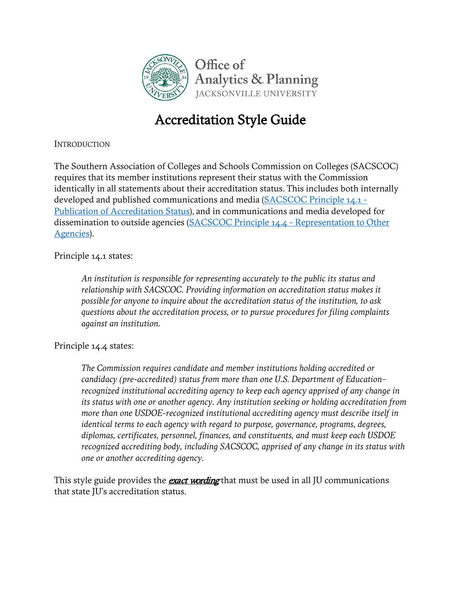

# Accreditation Style Guide

**INTRODUCTION** 

The Southern Association of Colleges and Schools Commission on Colleges (SACSCOC) requires that its member institutions represent their status with the Commission identically in all statements about their accreditation status. This includes both internally developed and published communications and media [\(SACSCOC Principle 14.1 -](https://www.ju.edu/analyticsandplanning/assessmentandaccreditation/SACSCOC14.1.pdf) [Publication of Accreditation Status\)](https://www.ju.edu/analyticsandplanning/assessmentandaccreditation/SACSCOC14.1.pdf), and in communications and media developed for dissemination to outside agencies [\(SACSCOC Principle 14.4 -](https://www.ju.edu/analyticsandplanning/assessmentandaccreditation/SACSCOC14.4.pdf) Representation to Other [Agencies\)](https://www.ju.edu/analyticsandplanning/assessmentandaccreditation/SACSCOC14.4.pdf).

Principle 14.1 states:

*An institution is responsible for representing accurately to the public its status and relationship with SACSCOC. Providing information on accreditation status makes it possible for anyone to inquire about the accreditation status of the institution, to ask questions about the accreditation process, or to pursue procedures for filing complaints against an institution.*

Principle 14.4 states:

*The Commission requires candidate and member institutions holding accredited or candidacy (pre-accredited) status from more than one U.S. Department of Education– recognized institutional accrediting agency to keep each agency apprised of any change in its status with one or another agency. Any institution seeking or holding accreditation from more than one USDOE-recognized institutional accrediting agency must describe itself in identical terms to each agency with regard to purpose, governance, programs, degrees, diplomas, certificates, personnel, finances, and constituents, and must keep each USDOE recognized accrediting body, including SACSCOC, apprised of any change in its status with one or another accrediting agency.*

This style guide provides the **exact wording** that must be used in all JU communications that state JU's accreditation status.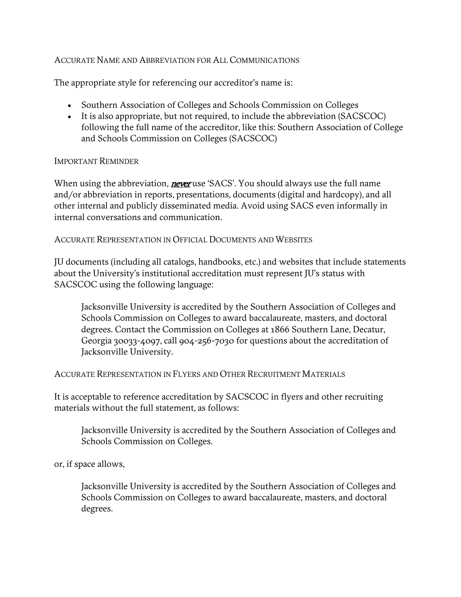# ACCURATE NAME AND ABBREVIATION FOR ALL COMMUNICATIONS

The appropriate style for referencing our accreditor's name is:

- Southern Association of Colleges and Schools Commission on Colleges
- It is also appropriate, but not required, to include the abbreviation (SACSCOC) following the full name of the accreditor, like this: Southern Association of College and Schools Commission on Colleges (SACSCOC)

# IMPORTANT REMINDER

When using the abbreviation, **never** use 'SACS'. You should always use the full name and/or abbreviation in reports, presentations, documents (digital and hardcopy), and all other internal and publicly disseminated media. Avoid using SACS even informally in internal conversations and communication.

#### ACCURATE REPRESENTATION IN OFFICIAL DOCUMENTS AND WEBSITES

JU documents (including all catalogs, handbooks, etc.) and websites that include statements about the University's institutional accreditation must represent JU's status with SACSCOC using the following language:

Jacksonville University is accredited by the Southern Association of Colleges and Schools Commission on Colleges to award baccalaureate, masters, and doctoral degrees. Contact the Commission on Colleges at 1866 Southern Lane, Decatur, Georgia 30033-4097, call 904-256-7030 for questions about the accreditation of Jacksonville University.

ACCURATE REPRESENTATION IN FLYERS AND OTHER RECRUITMENT MATERIALS

It is acceptable to reference accreditation by SACSCOC in flyers and other recruiting materials without the full statement, as follows:

Jacksonville University is accredited by the Southern Association of Colleges and Schools Commission on Colleges.

or, if space allows,

Jacksonville University is accredited by the Southern Association of Colleges and Schools Commission on Colleges to award baccalaureate, masters, and doctoral degrees.